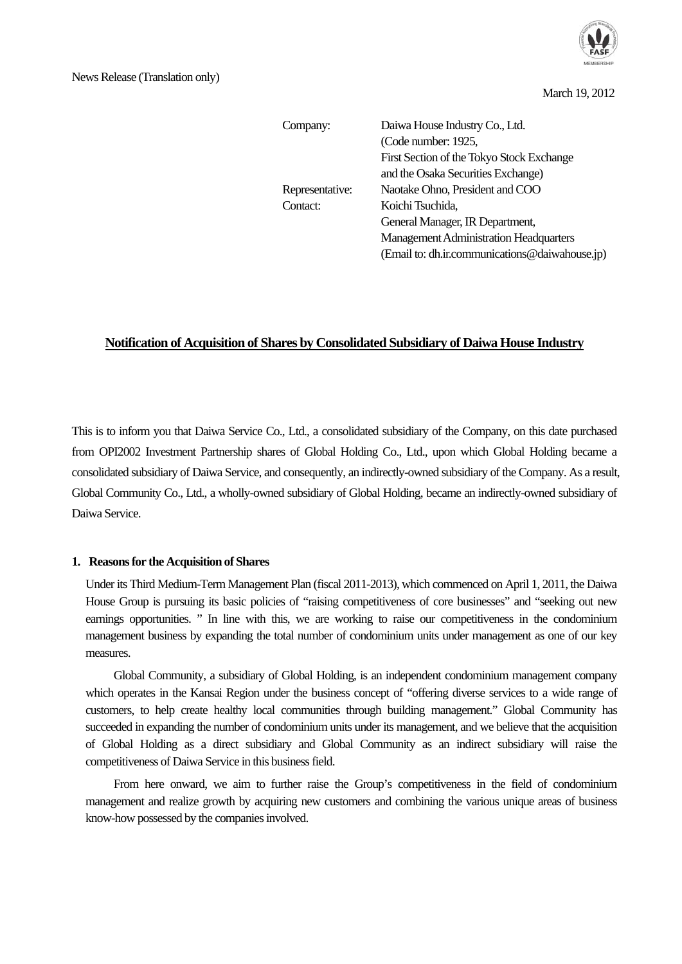

March 19, 2012

| Company:        | Daiwa House Industry Co., Ltd.                 |
|-----------------|------------------------------------------------|
|                 |                                                |
|                 | (Code number: 1925,                            |
|                 | First Section of the Tokyo Stock Exchange      |
|                 | and the Osaka Securities Exchange)             |
| Representative: | Naotake Ohno, President and COO                |
| Contact:        | Koichi Tsuchida,                               |
|                 | General Manager, IR Department,                |
|                 | <b>Management Administration Headquarters</b>  |
|                 | (Email to: dh.ir.communications@daiwahouse.jp) |

# **Notification of Acquisition of Shares by Consolidated Subsidiary of Daiwa House Industry**

This is to inform you that Daiwa Service Co., Ltd., a consolidated subsidiary of the Company, on this date purchased from OPI2002 Investment Partnership shares of Global Holding Co., Ltd., upon which Global Holding became a consolidated subsidiary of Daiwa Service, and consequently, an indirectly-owned subsidiary of the Company. As a result, Global Community Co., Ltd., a wholly-owned subsidiary of Global Holding, became an indirectly-owned subsidiary of Daiwa Service.

### **1. Reasons for the Acquisition of Shares**

Under its Third Medium-Term Management Plan (fiscal 2011-2013), which commenced on April 1, 2011, the Daiwa House Group is pursuing its basic policies of "raising competitiveness of core businesses" and "seeking out new earnings opportunities. " In line with this, we are working to raise our competitiveness in the condominium management business by expanding the total number of condominium units under management as one of our key measures.

 Global Community, a subsidiary of Global Holding, is an independent condominium management company which operates in the Kansai Region under the business concept of "offering diverse services to a wide range of customers, to help create healthy local communities through building management." Global Community has succeeded in expanding the number of condominium units under its management, and we believe that the acquisition of Global Holding as a direct subsidiary and Global Community as an indirect subsidiary will raise the competitiveness of Daiwa Service in this business field.

 From here onward, we aim to further raise the Group's competitiveness in the field of condominium management and realize growth by acquiring new customers and combining the various unique areas of business know-how possessed by the companies involved.